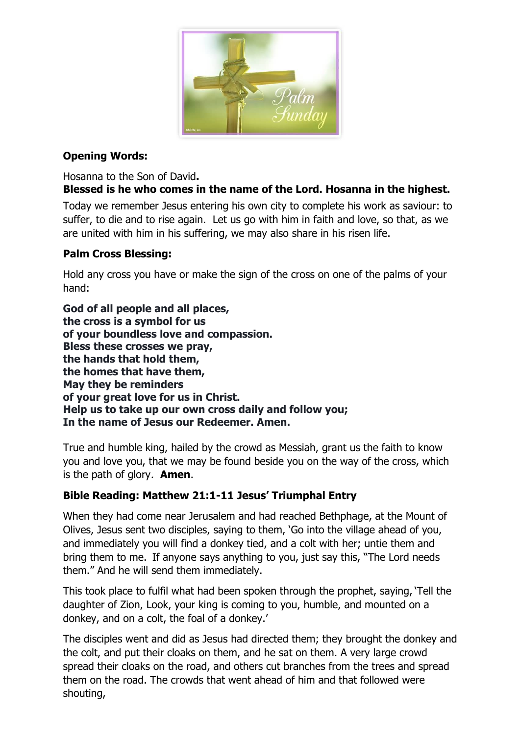

# **Opening Words:**

Hosanna to the Son of David**. Blessed is he who comes in the name of the Lord. Hosanna in the highest.**

Today we remember Jesus entering his own city to complete his work as saviour: to suffer, to die and to rise again. Let us go with him in faith and love, so that, as we are united with him in his suffering, we may also share in his risen life.

# **Palm Cross Blessing:**

Hold any cross you have or make the sign of the cross on one of the palms of your hand:

**God of all people and all places, the cross is a symbol for us of your boundless love and compassion. Bless these crosses we pray, the hands that hold them, the homes that have them, May they be reminders of your great love for us in Christ. Help us to take up our own cross daily and follow you; In the name of Jesus our Redeemer. Amen.**

True and humble king, hailed by the crowd as Messiah, grant us the faith to know you and love you, that we may be found beside you on the way of the cross, which is the path of glory. **Amen**.

# **Bible Reading: Matthew 21:1-11 Jesus' Triumphal Entry**

When they had come near Jerusalem and had reached Bethphage, at the Mount of Olives, Jesus sent two disciples, saying to them, 'Go into the village ahead of you, and immediately you will find a donkey tied, and a colt with her; untie them and bring them to me. If anyone says anything to you, just say this, "The Lord needs them." And he will send them immediately.

This took place to fulfil what had been spoken through the prophet, saying, 'Tell the daughter of Zion, Look, your king is coming to you, humble, and mounted on a donkey, and on a colt, the foal of a donkey.'

The disciples went and did as Jesus had directed them; they brought the donkey and the colt, and put their cloaks on them, and he sat on them. A very large crowd spread their cloaks on the road, and others cut branches from the trees and spread them on the road. The crowds that went ahead of him and that followed were shouting,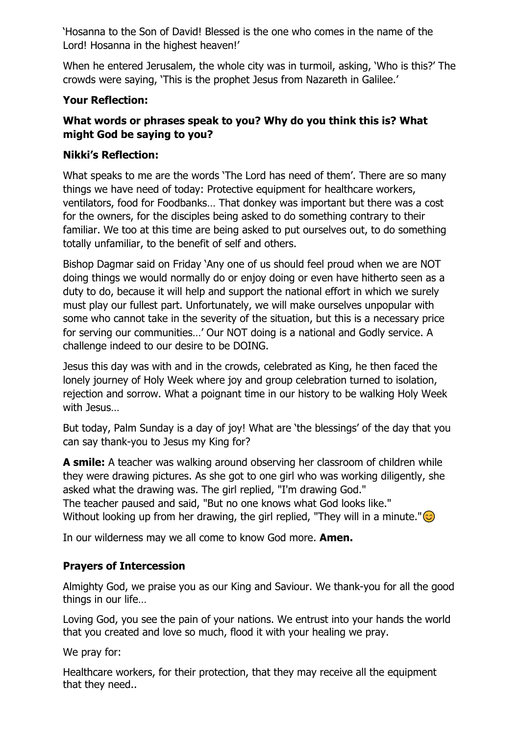'Hosanna to the Son of David! Blessed is the one who comes in the name of the Lord! Hosanna in the highest heaven!'

When he entered Jerusalem, the whole city was in turmoil, asking, 'Who is this?' The crowds were saying, 'This is the prophet Jesus from Nazareth in Galilee.'

### **Your Reflection:**

## **What words or phrases speak to you? Why do you think this is? What might God be saying to you?**

### **Nikki's Reflection:**

What speaks to me are the words 'The Lord has need of them'. There are so many things we have need of today: Protective equipment for healthcare workers, ventilators, food for Foodbanks… That donkey was important but there was a cost for the owners, for the disciples being asked to do something contrary to their familiar. We too at this time are being asked to put ourselves out, to do something totally unfamiliar, to the benefit of self and others.

Bishop Dagmar said on Friday 'Any one of us should feel proud when we are NOT doing things we would normally do or enjoy doing or even have hitherto seen as a duty to do, because it will help and support the national effort in which we surely must play our fullest part. Unfortunately, we will make ourselves unpopular with some who cannot take in the severity of the situation, but this is a necessary price for serving our communities…' Our NOT doing is a national and Godly service. A challenge indeed to our desire to be DOING.

Jesus this day was with and in the crowds, celebrated as King, he then faced the lonely journey of Holy Week where joy and group celebration turned to isolation, rejection and sorrow. What a poignant time in our history to be walking Holy Week with Jesus…

But today, Palm Sunday is a day of joy! What are 'the blessings' of the day that you can say thank-you to Jesus my King for?

**A smile:** A teacher was walking around observing her classroom of children while they were drawing pictures. As she got to one girl who was working diligently, she asked what the drawing was. The girl replied, "I'm drawing God." The teacher paused and said, "But no one knows what God looks like." Without looking up from her drawing, the girl replied, "They will in a minute." $\odot$ 

In our wilderness may we all come to know God more. **Amen.**

## **Prayers of Intercession**

Almighty God, we praise you as our King and Saviour. We thank-you for all the good things in our life…

Loving God, you see the pain of your nations. We entrust into your hands the world that you created and love so much, flood it with your healing we pray.

We pray for:

Healthcare workers, for their protection, that they may receive all the equipment that they need..